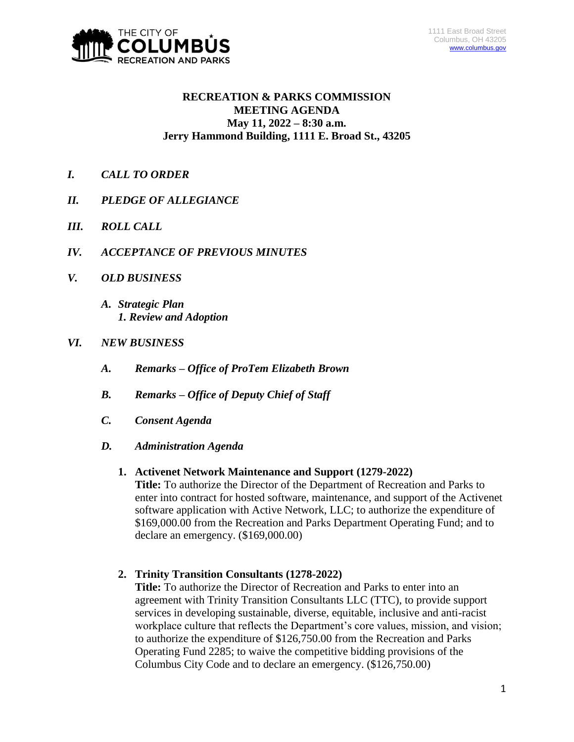

### **RECREATION & PARKS COMMISSION MEETING AGENDA May 11, 2022 – 8:30 a.m. Jerry Hammond Building, 1111 E. Broad St., 43205**

- *I. CALL TO ORDER*
- *II. PLEDGE OF ALLEGIANCE*
- *III. ROLL CALL*
- *IV. ACCEPTANCE OF PREVIOUS MINUTES*
- *V. OLD BUSINESS*
	- *A. Strategic Plan 1. Review and Adoption*

### *VI. NEW BUSINESS*

- *A. Remarks – Office of ProTem Elizabeth Brown*
- *B. Remarks – Office of Deputy Chief of Staff*
- *C. Consent Agenda*
- *D. Administration Agenda*

#### **1. Activenet Network Maintenance and Support (1279-2022)**

**Title:** To authorize the Director of the Department of Recreation and Parks to enter into contract for hosted software, maintenance, and support of the Activenet software application with Active Network, LLC; to authorize the expenditure of \$169,000.00 from the Recreation and Parks Department Operating Fund; and to declare an emergency. (\$169,000.00)

#### **2. Trinity Transition Consultants (1278-2022)**

**Title:** To authorize the Director of Recreation and Parks to enter into an agreement with Trinity Transition Consultants LLC (TTC), to provide support services in developing sustainable, diverse, equitable, inclusive and anti-racist workplace culture that reflects the Department's core values, mission, and vision; to authorize the expenditure of \$126,750.00 from the Recreation and Parks Operating Fund 2285; to waive the competitive bidding provisions of the Columbus City Code and to declare an emergency. (\$126,750.00)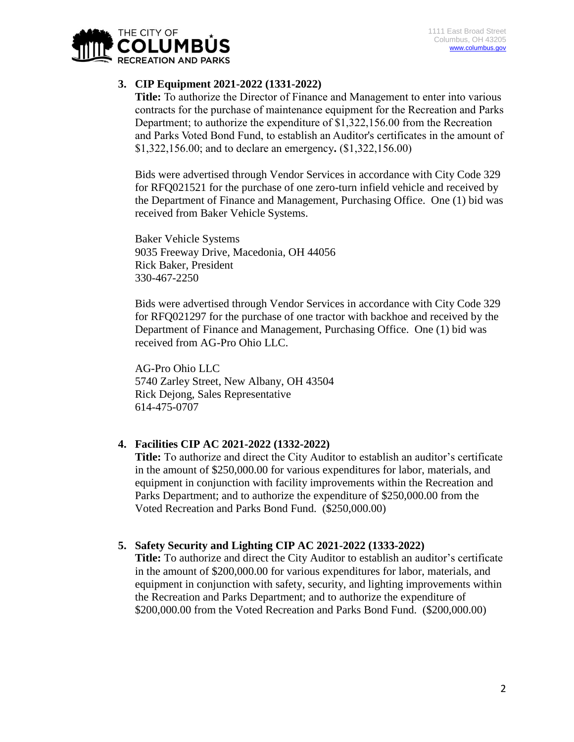

## **3. CIP Equipment 2021-2022 (1331-2022)**

**Title:** To authorize the Director of Finance and Management to enter into various contracts for the purchase of maintenance equipment for the Recreation and Parks Department; to authorize the expenditure of \$1,322,156.00 from the Recreation and Parks Voted Bond Fund, to establish an Auditor's certificates in the amount of \$1,322,156.00; and to declare an emergency**.** (\$1,322,156.00)

Bids were advertised through Vendor Services in accordance with City Code 329 for RFQ021521 for the purchase of one zero-turn infield vehicle and received by the Department of Finance and Management, Purchasing Office. One (1) bid was received from Baker Vehicle Systems.

Baker Vehicle Systems 9035 Freeway Drive, Macedonia, OH 44056 Rick Baker, President 330-467-2250

Bids were advertised through Vendor Services in accordance with City Code 329 for RFQ021297 for the purchase of one tractor with backhoe and received by the Department of Finance and Management, Purchasing Office. One (1) bid was received from AG-Pro Ohio LLC.

AG-Pro Ohio LLC 5740 Zarley Street, New Albany, OH 43504 Rick Dejong, Sales Representative 614-475-0707

## **4. Facilities CIP AC 2021-2022 (1332-2022)**

**Title:** To authorize and direct the City Auditor to establish an auditor's certificate in the amount of \$250,000.00 for various expenditures for labor, materials, and equipment in conjunction with facility improvements within the Recreation and Parks Department; and to authorize the expenditure of \$250,000.00 from the Voted Recreation and Parks Bond Fund. (\$250,000.00)

## **5. Safety Security and Lighting CIP AC 2021-2022 (1333-2022)**

**Title:** To authorize and direct the City Auditor to establish an auditor's certificate in the amount of \$200,000.00 for various expenditures for labor, materials, and equipment in conjunction with safety, security, and lighting improvements within the Recreation and Parks Department; and to authorize the expenditure of \$200,000.00 from the Voted Recreation and Parks Bond Fund. (\$200,000.00)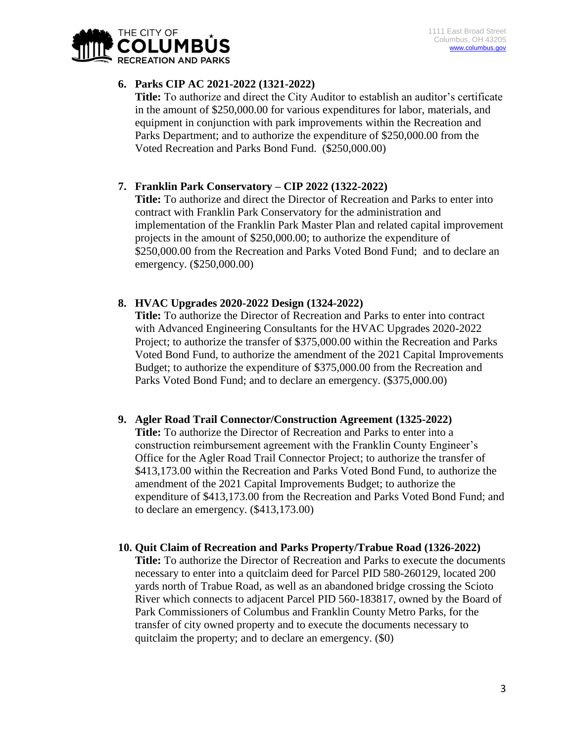

# **6. Parks CIP AC 2021-2022 (1321-2022)**

**Title:** To authorize and direct the City Auditor to establish an auditor's certificate in the amount of \$250,000.00 for various expenditures for labor, materials, and equipment in conjunction with park improvements within the Recreation and Parks Department; and to authorize the expenditure of \$250,000.00 from the Voted Recreation and Parks Bond Fund. (\$250,000.00)

# **7. Franklin Park Conservatory – CIP 2022 (1322-2022)**

**Title:** To authorize and direct the Director of Recreation and Parks to enter into contract with Franklin Park Conservatory for the administration and implementation of the Franklin Park Master Plan and related capital improvement projects in the amount of \$250,000.00; to authorize the expenditure of \$250,000.00 from the Recreation and Parks Voted Bond Fund; and to declare an emergency. (\$250,000.00)

## **8. HVAC Upgrades 2020-2022 Design (1324-2022)**

**Title:** To authorize the Director of Recreation and Parks to enter into contract with Advanced Engineering Consultants for the HVAC Upgrades 2020-2022 Project; to authorize the transfer of \$375,000.00 within the Recreation and Parks Voted Bond Fund, to authorize the amendment of the 2021 Capital Improvements Budget; to authorize the expenditure of \$375,000.00 from the Recreation and Parks Voted Bond Fund; and to declare an emergency. (\$375,000.00)

## **9. Agler Road Trail Connector/Construction Agreement (1325-2022)**

**Title:** To authorize the Director of Recreation and Parks to enter into a construction reimbursement agreement with the Franklin County Engineer's Office for the Agler Road Trail Connector Project; to authorize the transfer of \$413,173.00 within the Recreation and Parks Voted Bond Fund, to authorize the amendment of the 2021 Capital Improvements Budget; to authorize the expenditure of \$413,173.00 from the Recreation and Parks Voted Bond Fund; and to declare an emergency. (\$413,173.00)

## **10. Quit Claim of Recreation and Parks Property/Trabue Road (1326-2022)**

**Title:** To authorize the Director of Recreation and Parks to execute the documents necessary to enter into a quitclaim deed for Parcel PID 580-260129, located 200 yards north of Trabue Road, as well as an abandoned bridge crossing the Scioto River which connects to adjacent Parcel PID 560-183817, owned by the Board of Park Commissioners of Columbus and Franklin County Metro Parks, for the transfer of city owned property and to execute the documents necessary to quitclaim the property; and to declare an emergency. (\$0)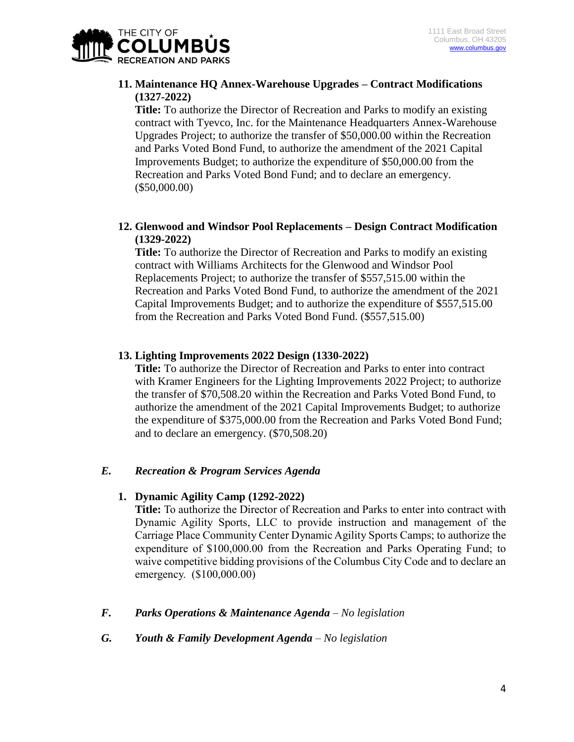

### **11. Maintenance HQ Annex-Warehouse Upgrades – Contract Modifications (1327-2022)**

**Title:** To authorize the Director of Recreation and Parks to modify an existing contract with Tyevco, Inc. for the Maintenance Headquarters Annex-Warehouse Upgrades Project; to authorize the transfer of \$50,000.00 within the Recreation and Parks Voted Bond Fund, to authorize the amendment of the 2021 Capital Improvements Budget; to authorize the expenditure of \$50,000.00 from the Recreation and Parks Voted Bond Fund; and to declare an emergency. (\$50,000.00)

### **12. Glenwood and Windsor Pool Replacements – Design Contract Modification (1329-2022)**

**Title:** To authorize the Director of Recreation and Parks to modify an existing contract with Williams Architects for the Glenwood and Windsor Pool Replacements Project; to authorize the transfer of \$557,515.00 within the Recreation and Parks Voted Bond Fund, to authorize the amendment of the 2021 Capital Improvements Budget; and to authorize the expenditure of \$557,515.00 from the Recreation and Parks Voted Bond Fund. (\$557,515.00)

### **13. Lighting Improvements 2022 Design (1330-2022)**

**Title:** To authorize the Director of Recreation and Parks to enter into contract with Kramer Engineers for the Lighting Improvements 2022 Project; to authorize the transfer of \$70,508.20 within the Recreation and Parks Voted Bond Fund, to authorize the amendment of the 2021 Capital Improvements Budget; to authorize the expenditure of \$375,000.00 from the Recreation and Parks Voted Bond Fund; and to declare an emergency. (\$70,508.20)

#### *E. Recreation & Program Services Agenda*

#### **1. Dynamic Agility Camp (1292-2022)**

**Title:** To authorize the Director of Recreation and Parks to enter into contract with Dynamic Agility Sports, LLC to provide instruction and management of the Carriage Place Community Center Dynamic Agility Sports Camps; to authorize the expenditure of \$100,000.00 from the Recreation and Parks Operating Fund; to waive competitive bidding provisions of the Columbus City Code and to declare an emergency. (\$100,000.00)

#### *F. Parks Operations & Maintenance Agenda – No legislation*

*G. Youth & Family Development Agenda – No legislation*